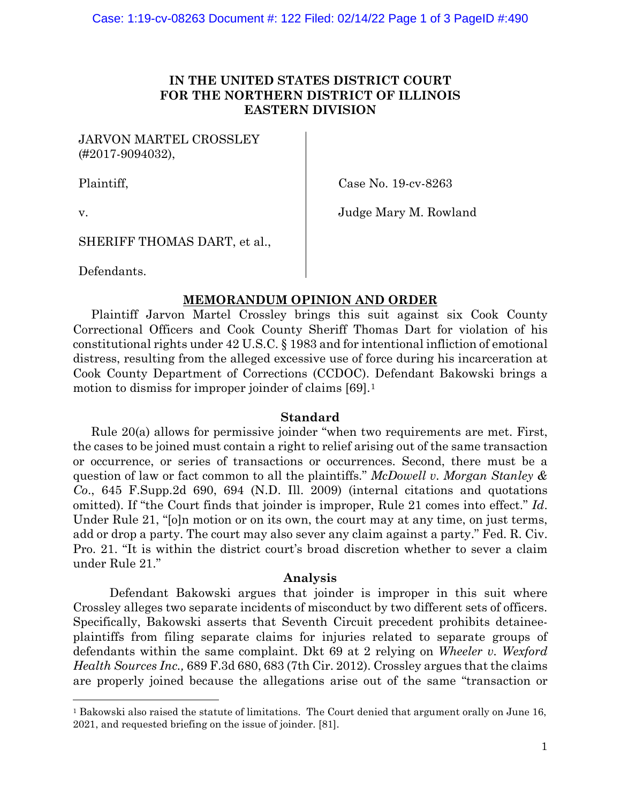## **IN THE UNITED STATES DISTRICT COURT FOR THE NORTHERN DISTRICT OF ILLINOIS EASTERN DIVISION**

JARVON MARTEL CROSSLEY (#2017-9094032),

Plaintiff,

Case No. 19-cv-8263

v.

Judge Mary M. Rowland

SHERIFF THOMAS DART, et al.,

Defendants.

# **MEMORANDUM OPINION AND ORDER**

Plaintiff Jarvon Martel Crossley brings this suit against six Cook County Correctional Officers and Cook County Sheriff Thomas Dart for violation of his constitutional rights under 42 U.S.C. § 1983 and for intentional infliction of emotional distress, resulting from the alleged excessive use of force during his incarceration at Cook County Department of Corrections (CCDOC). Defendant Bakowski brings a motion to dismiss for improper joinder of claims [69].<sup>[1](#page-0-0)</sup>

## **Standard**

Rule 20(a) allows for permissive joinder "when two requirements are met. First, the cases to be joined must contain a right to relief arising out of the same transaction or occurrence, or series of transactions or occurrences. Second, there must be a question of law or fact common to all the plaintiffs." *McDowell v. Morgan Stanley & Co*., 645 F.Supp.2d 690, 694 (N.D. Ill. 2009) (internal citations and quotations omitted). If "the Court finds that joinder is improper, Rule 21 comes into effect." *Id*. Under Rule 21, "[o]n motion or on its own, the court may at any time, on just terms, add or drop a party. The court may also sever any claim against a party." Fed. R. Civ. Pro. 21. "It is within the district court's broad discretion whether to sever a claim under Rule 21."

### **Analysis**

Defendant Bakowski argues that joinder is improper in this suit where Crossley alleges two separate incidents of misconduct by two different sets of officers. Specifically, Bakowski asserts that Seventh Circuit precedent prohibits detaineeplaintiffs from filing separate claims for injuries related to separate groups of defendants within the same complaint. Dkt 69 at 2 relying on *Wheeler v. Wexford Health Sources Inc.,* 689 F.3d 680, 683 (7th Cir. 2012). Crossley argues that the claims are properly joined because the allegations arise out of the same "transaction or

<span id="page-0-0"></span><sup>1</sup> Bakowski also raised the statute of limitations. The Court denied that argument orally on June 16, 2021, and requested briefing on the issue of joinder. [81].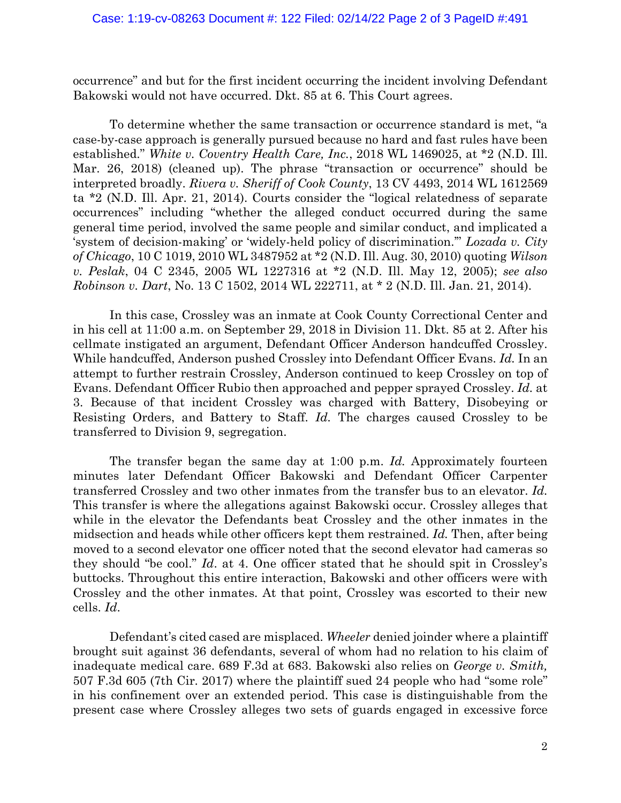occurrence" and but for the first incident occurring the incident involving Defendant Bakowski would not have occurred. Dkt. 85 at 6. This Court agrees.

To determine whether the same transaction or occurrence standard is met, "a case-by-case approach is generally pursued because no hard and fast rules have been established." *White v. Coventry Health Care, Inc.*, 2018 WL 1469025, at \*2 (N.D. Ill. Mar. 26, 2018) (cleaned up). The phrase "transaction or occurrence" should be interpreted broadly. *Rivera v. Sheriff of Cook County*, 13 CV 4493, 2014 WL 1612569 ta \*2 (N.D. Ill. Apr. 21, 2014). Courts consider the "logical relatedness of separate occurrences" including "whether the alleged conduct occurred during the same general time period, involved the same people and similar conduct, and implicated a 'system of decision-making' or 'widely-held policy of discrimination.'" *Lozada v. City of Chicago*, 10 C 1019, 2010 WL 3487952 at \*2 (N.D. Ill. Aug. 30, 2010) quoting *Wilson v. Peslak*, 04 C 2345, 2005 WL 1227316 at \*2 (N.D. Ill. May 12, 2005); *see also Robinson v. Dart*, No. 13 C 1502, 2014 WL 222711, at \* 2 (N.D. Ill. Jan. 21, 2014).

In this case, Crossley was an inmate at Cook County Correctional Center and in his cell at 11:00 a.m. on September 29, 2018 in Division 11. Dkt. 85 at 2. After his cellmate instigated an argument, Defendant Officer Anderson handcuffed Crossley. While handcuffed, Anderson pushed Crossley into Defendant Officer Evans. *Id.* In an attempt to further restrain Crossley, Anderson continued to keep Crossley on top of Evans. Defendant Officer Rubio then approached and pepper sprayed Crossley. *Id.* at 3. Because of that incident Crossley was charged with Battery, Disobeying or Resisting Orders, and Battery to Staff. *Id.* The charges caused Crossley to be transferred to Division 9, segregation.

The transfer began the same day at 1:00 p.m. *Id.* Approximately fourteen minutes later Defendant Officer Bakowski and Defendant Officer Carpenter transferred Crossley and two other inmates from the transfer bus to an elevator. *Id.*  This transfer is where the allegations against Bakowski occur. Crossley alleges that while in the elevator the Defendants beat Crossley and the other inmates in the midsection and heads while other officers kept them restrained. *Id.* Then, after being moved to a second elevator one officer noted that the second elevator had cameras so they should "be cool." *Id*. at 4. One officer stated that he should spit in Crossley's buttocks. Throughout this entire interaction, Bakowski and other officers were with Crossley and the other inmates. At that point, Crossley was escorted to their new cells. *Id*.

Defendant's cited cased are misplaced. *Wheeler* denied joinder where a plaintiff brought suit against 36 defendants, several of whom had no relation to his claim of inadequate medical care. 689 F.3d at 683. Bakowski also relies on *George v. Smith,*  507 F.3d 605 (7th Cir. 2017) where the plaintiff sued 24 people who had "some role" in his confinement over an extended period. This case is distinguishable from the present case where Crossley alleges two sets of guards engaged in excessive force